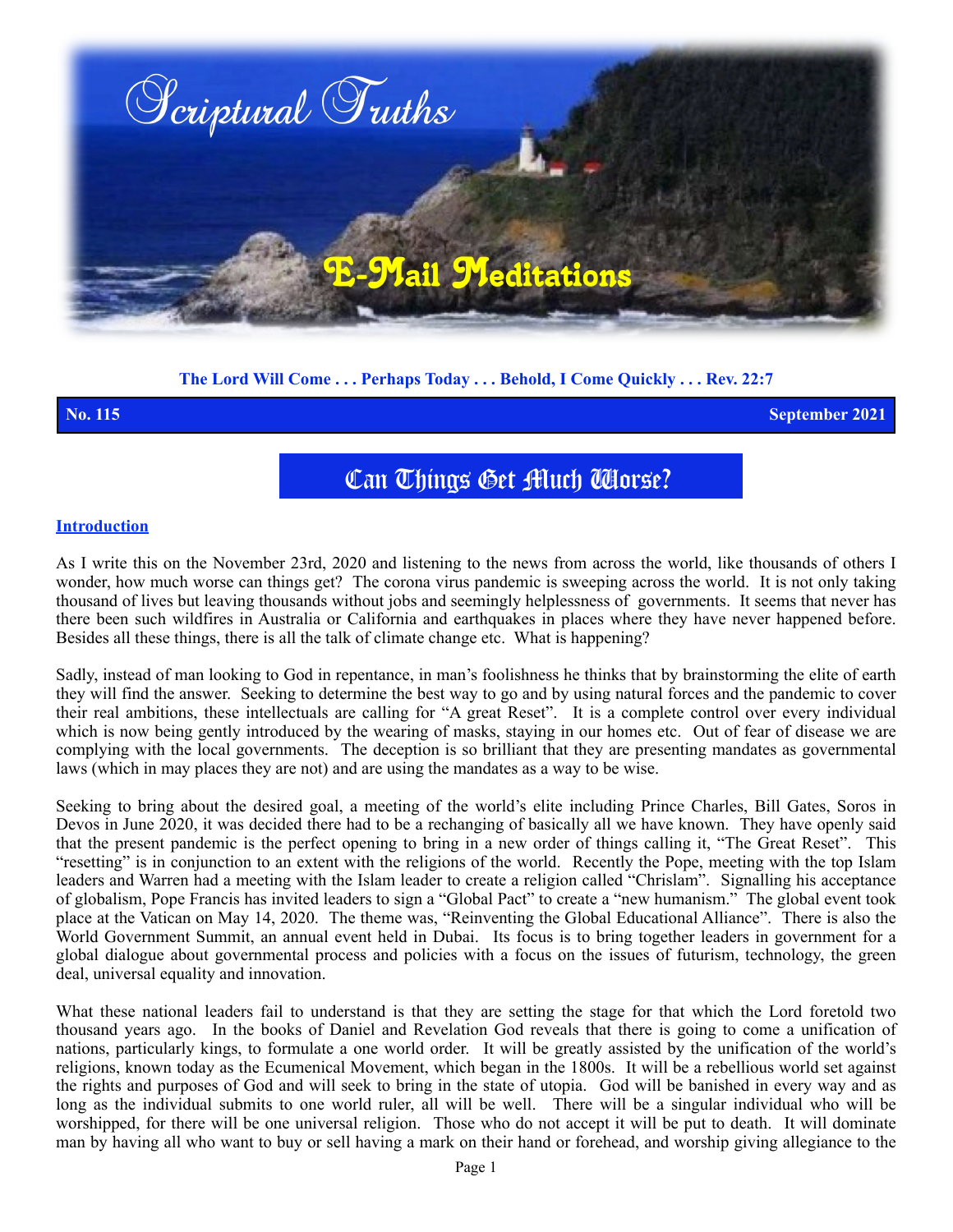

# **The Lord Will Come . . . Perhaps Today . . . Behold, I Come Quickly . . . Rev. 22:7**

**No. 115 September 2021**

# Can Things Get Much Worse?

### **Introduction**

As I write this on the November 23rd, 2020 and listening to the news from across the world, like thousands of others I wonder, how much worse can things get? The corona virus pandemic is sweeping across the world. It is not only taking thousand of lives but leaving thousands without jobs and seemingly helplessness of governments. It seems that never has there been such wildfires in Australia or California and earthquakes in places where they have never happened before. Besides all these things, there is all the talk of climate change etc. What is happening?

Sadly, instead of man looking to God in repentance, in man's foolishness he thinks that by brainstorming the elite of earth they will find the answer. Seeking to determine the best way to go and by using natural forces and the pandemic to cover their real ambitions, these intellectuals are calling for "A great Reset". It is a complete control over every individual which is now being gently introduced by the wearing of masks, staying in our homes etc. Out of fear of disease we are complying with the local governments. The deception is so brilliant that they are presenting mandates as governmental laws (which in may places they are not) and are using the mandates as a way to be wise.

Seeking to bring about the desired goal, a meeting of the world's elite including Prince Charles, Bill Gates, Soros in Devos in June 2020, it was decided there had to be a rechanging of basically all we have known. They have openly said that the present pandemic is the perfect opening to bring in a new order of things calling it, "The Great Reset". This "resetting" is in conjunction to an extent with the religions of the world. Recently the Pope, meeting with the top Islam leaders and Warren had a meeting with the Islam leader to create a religion called "Chrislam". Signalling his acceptance of globalism, Pope Francis has invited leaders to sign a "Global Pact" to create a "new humanism." The global event took place at the Vatican on May 14, 2020. The theme was, "Reinventing the Global Educational Alliance". There is also the World Government Summit, an annual event held in Dubai. Its focus is to bring together leaders in government for a global dialogue about governmental process and policies with a focus on the issues of futurism, technology, the green deal, universal equality and innovation.

What these national leaders fail to understand is that they are setting the stage for that which the Lord foretold two thousand years ago. In the books of Daniel and Revelation God reveals that there is going to come a unification of nations, particularly kings, to formulate a one world order. It will be greatly assisted by the unification of the world's religions, known today as the Ecumenical Movement, which began in the 1800s. It will be a rebellious world set against the rights and purposes of God and will seek to bring in the state of utopia. God will be banished in every way and as long as the individual submits to one world ruler, all will be well. There will be a singular individual who will be worshipped, for there will be one universal religion. Those who do not accept it will be put to death. It will dominate man by having all who want to buy or sell having a mark on their hand or forehead, and worship giving allegiance to the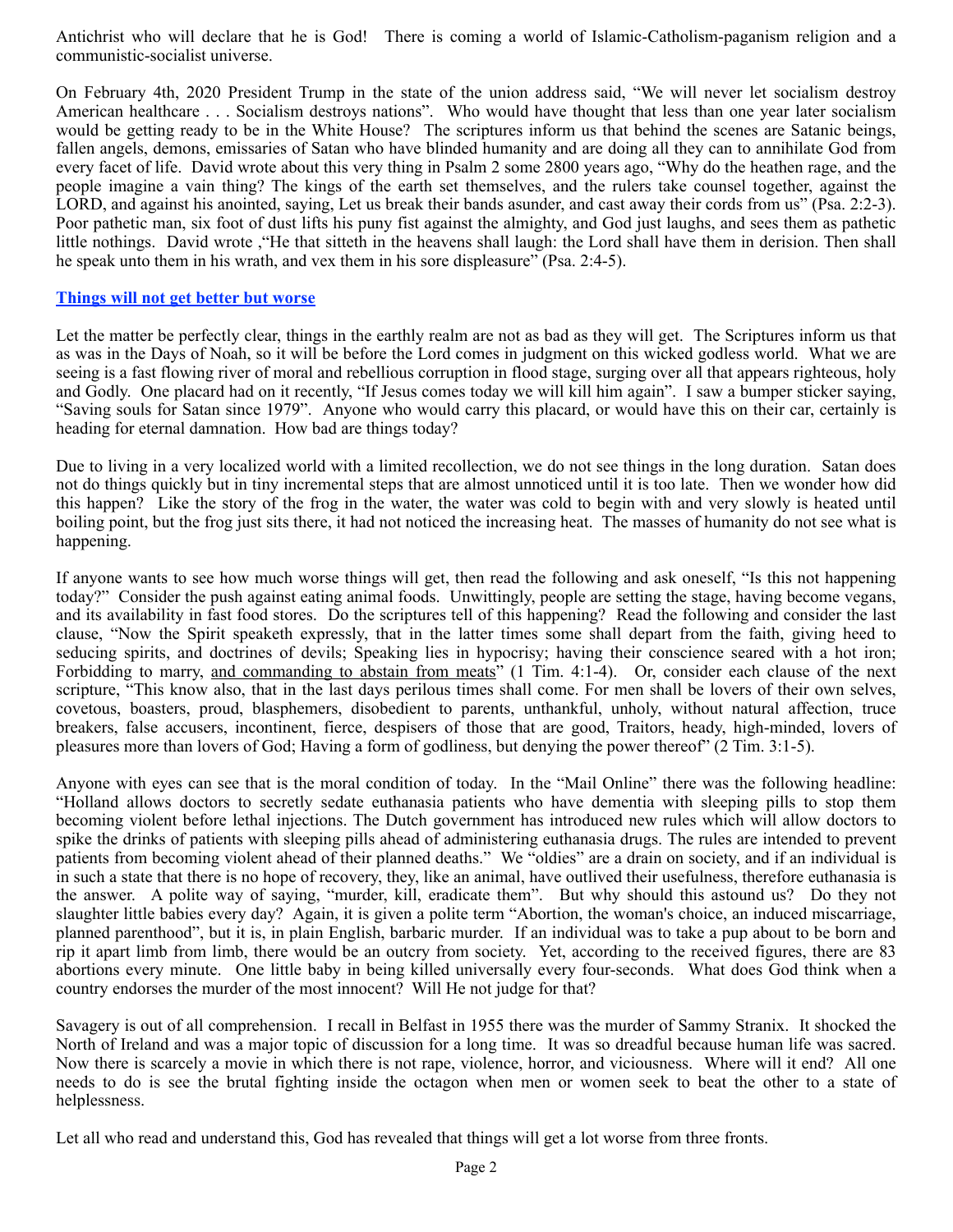Antichrist who will declare that he is God! There is coming a world of Islamic-Catholism-paganism religion and a communistic-socialist universe.

On February 4th, 2020 President Trump in the state of the union address said, "We will never let socialism destroy American healthcare . . . Socialism destroys nations". Who would have thought that less than one year later socialism would be getting ready to be in the White House? The scriptures inform us that behind the scenes are Satanic beings, fallen angels, demons, emissaries of Satan who have blinded humanity and are doing all they can to annihilate God from every facet of life. David wrote about this very thing in Psalm 2 some 2800 years ago, "Why do the heathen rage, and the people imagine a vain thing? The kings of the earth set themselves, and the rulers take counsel together, against the LORD, and against his anointed, saying, Let us break their bands asunder, and cast away their cords from us" (Psa. 2:2-3). Poor pathetic man, six foot of dust lifts his puny fist against the almighty, and God just laughs, and sees them as pathetic little nothings. David wrote ,"He that sitteth in the heavens shall laugh: the Lord shall have them in derision. Then shall he speak unto them in his wrath, and vex them in his sore displeasure" (Psa. 2:4-5).

#### **Things will not get better but worse**

Let the matter be perfectly clear, things in the earthly realm are not as bad as they will get. The Scriptures inform us that as was in the Days of Noah, so it will be before the Lord comes in judgment on this wicked godless world. What we are seeing is a fast flowing river of moral and rebellious corruption in flood stage, surging over all that appears righteous, holy and Godly. One placard had on it recently, "If Jesus comes today we will kill him again". I saw a bumper sticker saying, "Saving souls for Satan since 1979". Anyone who would carry this placard, or would have this on their car, certainly is heading for eternal damnation. How bad are things today?

Due to living in a very localized world with a limited recollection, we do not see things in the long duration. Satan does not do things quickly but in tiny incremental steps that are almost unnoticed until it is too late. Then we wonder how did this happen? Like the story of the frog in the water, the water was cold to begin with and very slowly is heated until boiling point, but the frog just sits there, it had not noticed the increasing heat. The masses of humanity do not see what is happening.

If anyone wants to see how much worse things will get, then read the following and ask oneself, "Is this not happening today?" Consider the push against eating animal foods. Unwittingly, people are setting the stage, having become vegans, and its availability in fast food stores. Do the scriptures tell of this happening? Read the following and consider the last clause, "Now the Spirit speaketh expressly, that in the latter times some shall depart from the faith, giving heed to seducing spirits, and doctrines of devils; Speaking lies in hypocrisy; having their conscience seared with a hot iron; Forbidding to marry, and commanding to abstain from meats" (1 Tim. 4:1-4). Or, consider each clause of the next scripture, "This know also, that in the last days perilous times shall come. For men shall be lovers of their own selves, covetous, boasters, proud, blasphemers, disobedient to parents, unthankful, unholy, without natural affection, truce breakers, false accusers, incontinent, fierce, despisers of those that are good, Traitors, heady, high-minded, lovers of pleasures more than lovers of God; Having a form of godliness, but denying the power thereof" (2 Tim. 3:1-5).

Anyone with eyes can see that is the moral condition of today. In the "Mail Online" there was the following headline: "Holland allows doctors to secretly sedate euthanasia patients who have dementia with sleeping pills to stop them becoming violent before lethal injections. The Dutch government has introduced new rules which will allow doctors to spike the drinks of patients with sleeping pills ahead of administering euthanasia drugs. The rules are intended to prevent patients from becoming violent ahead of their planned deaths." We "oldies" are a drain on society, and if an individual is in such a state that there is no hope of recovery, they, like an animal, have outlived their usefulness, therefore euthanasia is the answer. A polite way of saying, "murder, kill, eradicate them". But why should this astound us? Do they not slaughter little babies every day? Again, it is given a polite term "Abortion, the woman's choice, an induced miscarriage, planned parenthood", but it is, in plain English, barbaric murder. If an individual was to take a pup about to be born and rip it apart limb from limb, there would be an outcry from society. Yet, according to the received figures, there are 83 abortions every minute. One little baby in being killed universally every four-seconds. What does God think when a country endorses the murder of the most innocent? Will He not judge for that?

Savagery is out of all comprehension. I recall in Belfast in 1955 there was the murder of Sammy Stranix. It shocked the North of Ireland and was a major topic of discussion for a long time. It was so dreadful because human life was sacred. Now there is scarcely a movie in which there is not rape, violence, horror, and viciousness. Where will it end? All one needs to do is see the brutal fighting inside the octagon when men or women seek to beat the other to a state of helplessness.

Let all who read and understand this, God has revealed that things will get a lot worse from three fronts.